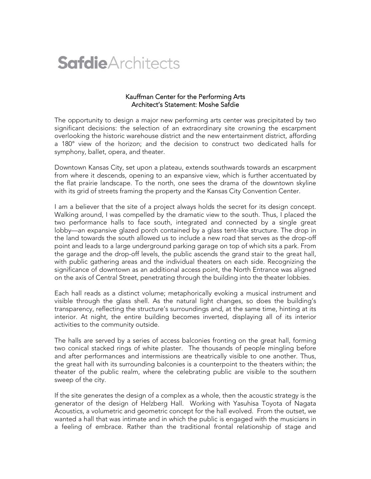## **Safdie**Architects

## Kauffman Center for the Performing Arts Architect's Statement: Moshe Safdie

The opportunity to design a major new performing arts center was precipitated by two significant decisions: the selection of an extraordinary site crowning the escarpment overlooking the historic warehouse district and the new entertainment district, affording a 180° view of the horizon; and the decision to construct two dedicated halls for symphony, ballet, opera, and theater.

Downtown Kansas City, set upon a plateau, extends southwards towards an escarpment from where it descends, opening to an expansive view, which is further accentuated by the flat prairie landscape. To the north, one sees the drama of the downtown skyline with its grid of streets framing the property and the Kansas City Convention Center.

I am a believer that the site of a project always holds the secret for its design concept. Walking around, I was compelled by the dramatic view to the south. Thus, I placed the two performance halls to face south, integrated and connected by a single great lobby—an expansive glazed porch contained by a glass tent-like structure. The drop in the land towards the south allowed us to include a new road that serves as the drop-off point and leads to a large underground parking garage on top of which sits a park. From the garage and the drop-off levels, the public ascends the grand stair to the great hall, with public gathering areas and the individual theaters on each side. Recognizing the significance of downtown as an additional access point, the North Entrance was aligned on the axis of Central Street, penetrating through the building into the theater lobbies.

Each hall reads as a distinct volume; metaphorically evoking a musical instrument and visible through the glass shell. As the natural light changes, so does the building's transparency, reflecting the structure's surroundings and, at the same time, hinting at its interior. At night, the entire building becomes inverted, displaying all of its interior activities to the community outside.

The halls are served by a series of access balconies fronting on the great hall, forming two conical stacked rings of white plaster. The thousands of people mingling before and after performances and intermissions are theatrically visible to one another. Thus, the great hall with its surrounding balconies is a counterpoint to the theaters within; the theater of the public realm, where the celebrating public are visible to the southern sweep of the city.

If the site generates the design of a complex as a whole, then the acoustic strategy is the generator of the design of Helzberg Hall. Working with Yasuhisa Toyota of Nagata Acoustics, a volumetric and geometric concept for the hall evolved. From the outset, we wanted a hall that was intimate and in which the public is engaged with the musicians in a feeling of embrace. Rather than the traditional frontal relationship of stage and